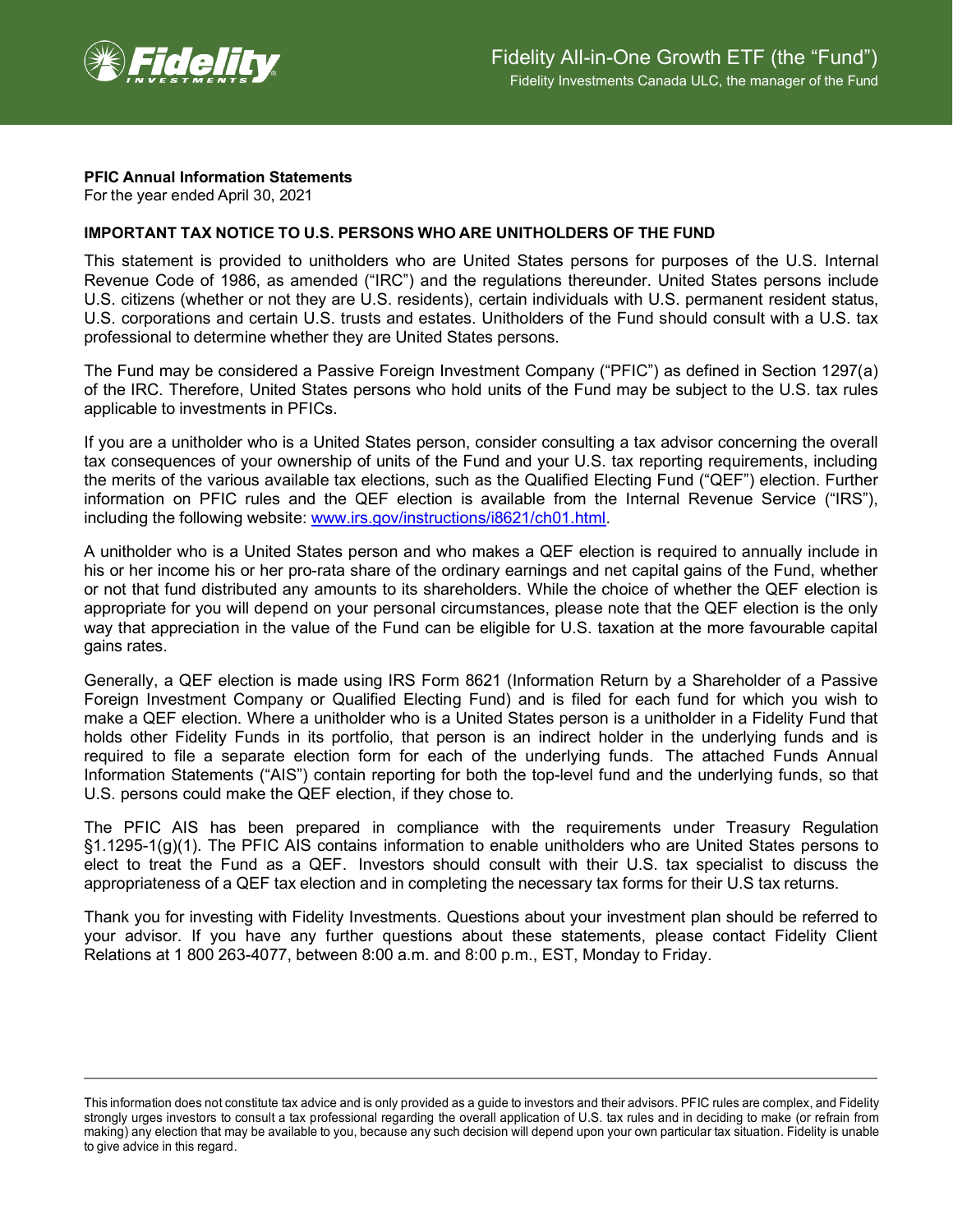

## **PFIC Annual Information Statements**

For the year ended April 30, 2021

## **IMPORTANT TAX NOTICE TO U.S. PERSONS WHO ARE UNITHOLDERS OF THE FUND**

This statement is provided to unitholders who are United States persons for purposes of the U.S. Internal Revenue Code of 1986, as amended ("IRC") and the regulations thereunder. United States persons include U.S. citizens (whether or not they are U.S. residents), certain individuals with U.S. permanent resident status, U.S. corporations and certain U.S. trusts and estates. Unitholders of the Fund should consult with a U.S. tax professional to determine whether they are United States persons.

The Fund may be considered a Passive Foreign Investment Company ("PFIC") as defined in Section 1297(a) of the IRC. Therefore, United States persons who hold units of the Fund may be subject to the U.S. tax rules applicable to investments in PFICs.

If you are a unitholder who is a United States person, consider consulting a tax advisor concerning the overall tax consequences of your ownership of units of the Fund and your U.S. tax reporting requirements, including the merits of the various available tax elections, such as the Qualified Electing Fund ("QEF") election. Further information on PFIC rules and the QEF election is available from the Internal Revenue Service ("IRS"), including the following website: [www.irs.gov/instructions/i8621/ch01.html.](http://www.irs.gov/instructions/i8621/ch01.html)

A unitholder who is a United States person and who makes a QEF election is required to annually include in his or her income his or her pro-rata share of the ordinary earnings and net capital gains of the Fund, whether or not that fund distributed any amounts to its shareholders. While the choice of whether the QEF election is appropriate for you will depend on your personal circumstances, please note that the QEF election is the only way that appreciation in the value of the Fund can be eligible for U.S. taxation at the more favourable capital gains rates.

Generally, a QEF election is made using IRS Form 8621 (Information Return by a Shareholder of a Passive Foreign Investment Company or Qualified Electing Fund) and is filed for each fund for which you wish to make a QEF election. Where a unitholder who is a United States person is a unitholder in a Fidelity Fund that holds other Fidelity Funds in its portfolio, that person is an indirect holder in the underlying funds and is required to file a separate election form for each of the underlying funds. The attached Funds Annual Information Statements ("AIS") contain reporting for both the top-level fund and the underlying funds, so that U.S. persons could make the QEF election, if they chose to.

The PFIC AIS has been prepared in compliance with the requirements under Treasury Regulation §1.1295-1(g)(1). The PFIC AIS contains information to enable unitholders who are United States persons to elect to treat the Fund as a QEF. Investors should consult with their U.S. tax specialist to discuss the appropriateness of a QEF tax election and in completing the necessary tax forms for their U.S tax returns.

Thank you for investing with Fidelity Investments. Questions about your investment plan should be referred to your advisor. If you have any further questions about these statements, please contact Fidelity Client Relations at 1 800 263-4077, between 8:00 a.m. and 8:00 p.m., EST, Monday to Friday.

This information does not constitute tax advice and is only provided as a guide to investors and their advisors. PFIC rules are complex, and Fidelity strongly urges investors to consult a tax professional regarding the overall application of U.S. tax rules and in deciding to make (or refrain from making) any election that may be available to you, because any such decision will depend upon your own particular tax situation. Fidelity is unable to give advice in this regard.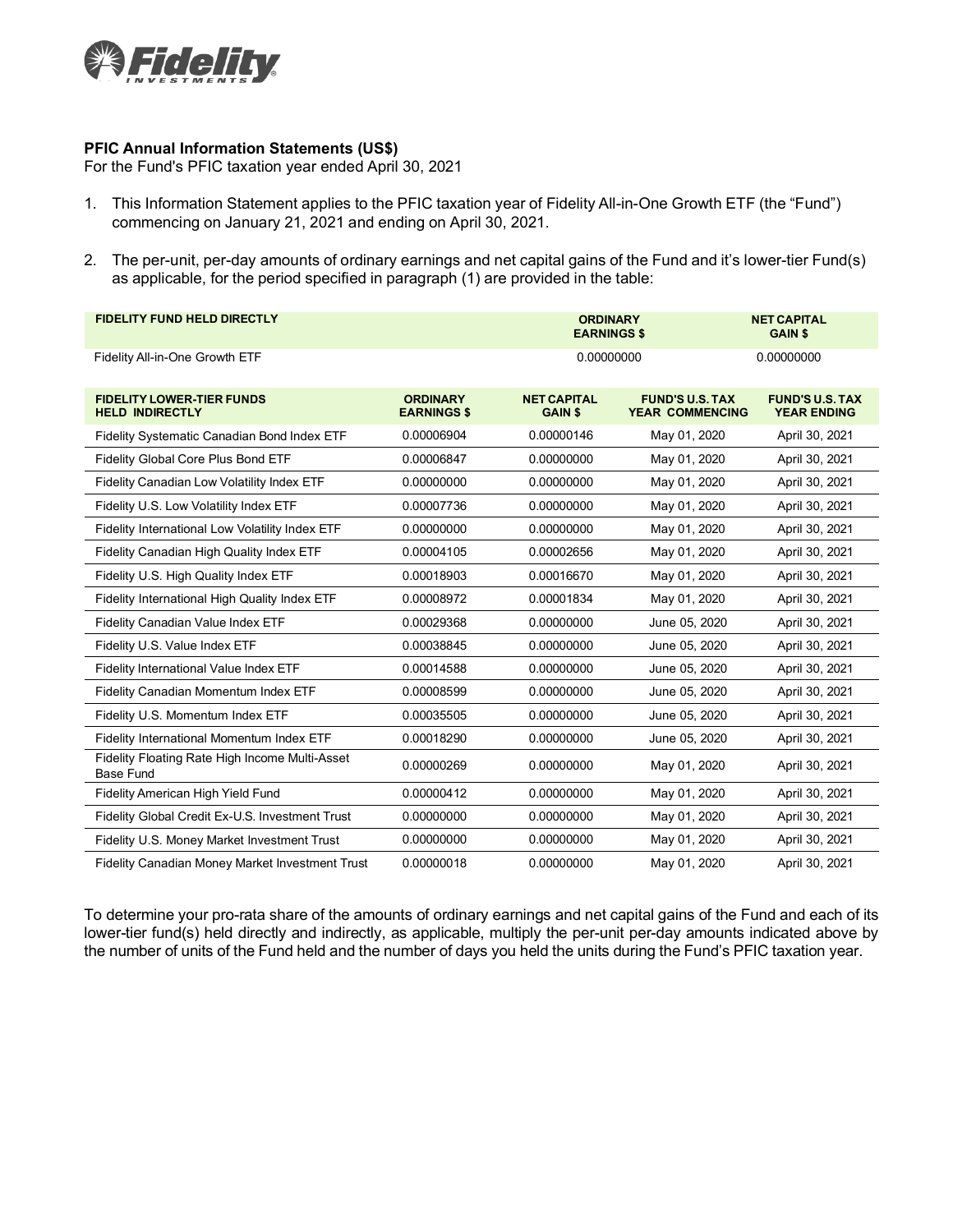

## **PFIC Annual Information Statements (US\$)**

For the Fund's PFIC taxation year ended April 30, 2021

- 1. This Information Statement applies to the PFIC taxation year of Fidelity All-in-One Growth ETF (the "Fund") commencing on January 21, 2021 and ending on April 30, 2021.
- 2. The per-unit, per-day amounts of ordinary earnings and net capital gains of the Fund and it's lower-tier Fund(s) as applicable, for the period specified in paragraph (1) are provided in the table:

| <b>FIDELITY FUND HELD DIRECTLY</b>                                 |                                       | <b>ORDINARY</b><br><b>EARNINGS \$</b> |                                                  | <b>NET CAPITAL</b><br><b>GAIN \$</b>         |
|--------------------------------------------------------------------|---------------------------------------|---------------------------------------|--------------------------------------------------|----------------------------------------------|
| Fidelity All-in-One Growth ETF                                     |                                       | 0.00000000                            |                                                  | 0.00000000                                   |
| <b>FIDELITY LOWER-TIER FUNDS</b><br><b>HELD INDIRECTLY</b>         | <b>ORDINARY</b><br><b>EARNINGS \$</b> | <b>NET CAPITAL</b><br><b>GAIN \$</b>  | <b>FUND'S U.S. TAX</b><br><b>YEAR COMMENCING</b> | <b>FUND'S U.S. TAX</b><br><b>YEAR ENDING</b> |
| Fidelity Systematic Canadian Bond Index ETF                        | 0.00006904                            | 0.00000146                            | May 01, 2020                                     | April 30, 2021                               |
| Fidelity Global Core Plus Bond ETF                                 | 0.00006847                            | 0.00000000                            | May 01, 2020                                     | April 30, 2021                               |
| Fidelity Canadian Low Volatility Index ETF                         | 0.00000000                            | 0.00000000                            | May 01, 2020                                     | April 30, 2021                               |
| Fidelity U.S. Low Volatility Index ETF                             | 0.00007736                            | 0.00000000                            | May 01, 2020                                     | April 30, 2021                               |
| Fidelity International Low Volatility Index ETF                    | 0.00000000                            | 0.00000000                            | May 01, 2020                                     | April 30, 2021                               |
| Fidelity Canadian High Quality Index ETF                           | 0.00004105                            | 0.00002656                            | May 01, 2020                                     | April 30, 2021                               |
| Fidelity U.S. High Quality Index ETF                               | 0.00018903                            | 0.00016670                            | May 01, 2020                                     | April 30, 2021                               |
| Fidelity International High Quality Index ETF                      | 0.00008972                            | 0.00001834                            | May 01, 2020                                     | April 30, 2021                               |
| Fidelity Canadian Value Index ETF                                  | 0.00029368                            | 0.00000000                            | June 05, 2020                                    | April 30, 2021                               |
| Fidelity U.S. Value Index ETF                                      | 0.00038845                            | 0.00000000                            | June 05, 2020                                    | April 30, 2021                               |
| Fidelity International Value Index ETF                             | 0.00014588                            | 0.00000000                            | June 05, 2020                                    | April 30, 2021                               |
| Fidelity Canadian Momentum Index ETF                               | 0.00008599                            | 0.00000000                            | June 05, 2020                                    | April 30, 2021                               |
| Fidelity U.S. Momentum Index ETF                                   | 0.00035505                            | 0.00000000                            | June 05, 2020                                    | April 30, 2021                               |
| Fidelity International Momentum Index ETF                          | 0.00018290                            | 0.00000000                            | June 05, 2020                                    | April 30, 2021                               |
| Fidelity Floating Rate High Income Multi-Asset<br><b>Base Fund</b> | 0.00000269                            | 0.00000000                            | May 01, 2020                                     | April 30, 2021                               |
| Fidelity American High Yield Fund                                  | 0.00000412                            | 0.00000000                            | May 01, 2020                                     | April 30, 2021                               |
| Fidelity Global Credit Ex-U.S. Investment Trust                    | 0.00000000                            | 0.00000000                            | May 01, 2020                                     | April 30, 2021                               |
| Fidelity U.S. Money Market Investment Trust                        | 0.00000000                            | 0.00000000                            | May 01, 2020                                     | April 30, 2021                               |
| Fidelity Canadian Money Market Investment Trust                    | 0.00000018                            | 0.00000000                            | May 01, 2020                                     | April 30, 2021                               |

To determine your pro-rata share of the amounts of ordinary earnings and net capital gains of the Fund and each of its lower-tier fund(s) held directly and indirectly, as applicable, multiply the per-unit per-day amounts indicated above by the number of units of the Fund held and the number of days you held the units during the Fund's PFIC taxation year.